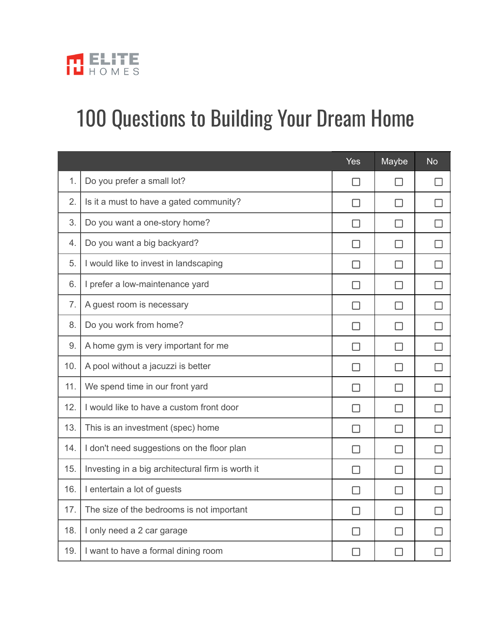

## 100 Questions to Building Your Dream Home

|     |                                                   | <b>Yes</b> | Maybe  | <b>No</b> |
|-----|---------------------------------------------------|------------|--------|-----------|
| 1.  | Do you prefer a small lot?                        | П          | H      | H         |
| 2.  | Is it a must to have a gated community?           | ΙI         | ΙI     | ΙI        |
| 3.  | Do you want a one-story home?                     | П          | П      | П         |
| 4.  | Do you want a big backyard?                       | П          | ⊓      | □         |
| 5.  | I would like to invest in landscaping             | П          | П      | П         |
| 6.  | I prefer a low-maintenance yard                   | ΙI         | ΙI     | ΙI        |
| 7.  | A guest room is necessary                         | П          | П      | П         |
| 8.  | Do you work from home?                            | П          | П      | □         |
| 9.  | A home gym is very important for me               | П          | П      | П         |
| 10. | A pool without a jacuzzi is better                | ΙI         | ΙI     | ΙI        |
| 11. | We spend time in our front yard                   | П          | П      | П         |
| 12. | I would like to have a custom front door          | П          | П      | П         |
| 13. | This is an investment (spec) home                 | П          | П      | П         |
| 14. | I don't need suggestions on the floor plan        | П          | $\Box$ | $\Box$    |
| 15. | Investing in a big architectural firm is worth it | П          | П      | П         |
| 16. | I entertain a lot of guests                       | $\Box$     | П      | П         |
| 17. | The size of the bedrooms is not important         | П          | П      | П         |
| 18. | I only need a 2 car garage                        | ΙI         | П      | П         |
| 19. | I want to have a formal dining room               |            |        |           |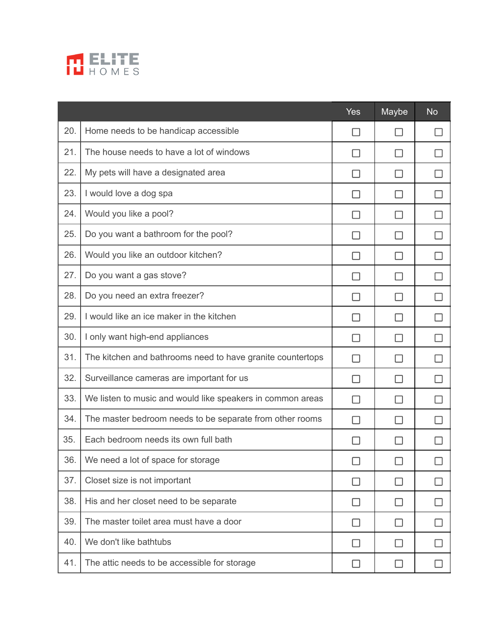

|     |                                                            | <b>Yes</b>               | Maybe  | <b>No</b> |
|-----|------------------------------------------------------------|--------------------------|--------|-----------|
| 20. | Home needs to be handicap accessible                       | $\overline{\phantom{a}}$ |        |           |
| 21. | The house needs to have a lot of windows                   | H                        | ΙI     |           |
| 22. | My pets will have a designated area                        | H                        | ΙI     |           |
| 23. | I would love a dog spa                                     | H                        | ΙI     | H         |
| 24. | Would you like a pool?                                     | H                        | П      | ΙI        |
| 25. | Do you want a bathroom for the pool?                       | H                        | ΙI     |           |
| 26. | Would you like an outdoor kitchen?                         | H                        | П      |           |
| 27. | Do you want a gas stove?                                   | H                        | ΙI     |           |
| 28. | Do you need an extra freezer?                              | П                        | П      |           |
| 29. | I would like an ice maker in the kitchen                   | П                        | ΙI     |           |
| 30. | I only want high-end appliances                            | H                        | H      |           |
| 31. | The kitchen and bathrooms need to have granite countertops | $\mathsf{L}$             | ΙI     | ΙI        |
| 32. | Surveillance cameras are important for us                  | П                        | П      | $\Box$    |
| 33. | We listen to music and would like speakers in common areas | П                        | П      |           |
| 34. | The master bedroom needs to be separate from other rooms   | П                        | $\Box$ |           |
| 35. | Each bedroom needs its own full bath                       | H                        | H      |           |
| 36. | We need a lot of space for storage                         | □                        | $\Box$ | ⊔         |
| 37. | Closet size is not important                               | H                        | ΙI     | H         |
| 38. | His and her closet need to be separate                     | ΙI                       | П      | H         |
| 39. | The master toilet area must have a door                    | П                        | ΙI     | H         |
| 40. | We don't like bathtubs                                     | $\Box$                   | $\Box$ |           |
| 41. | The attic needs to be accessible for storage               |                          | ΙI     |           |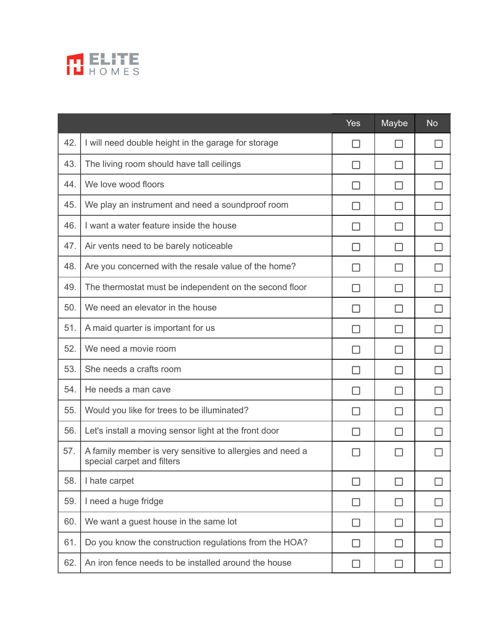

|     |                                                                                         | <b>Yes</b> | Maybe        | <b>No</b> |
|-----|-----------------------------------------------------------------------------------------|------------|--------------|-----------|
| 42. | I will need double height in the garage for storage                                     | ΙI         | H            |           |
| 43. | The living room should have tall ceilings                                               | ΙI         | H            |           |
| 44. | We love wood floors                                                                     | H          |              |           |
| 45. | We play an instrument and need a soundproof room                                        | ΙI         | $\mathsf{L}$ |           |
| 46. | I want a water feature inside the house                                                 |            |              |           |
| 47. | Air vents need to be barely noticeable                                                  | ΙI         | H            |           |
| 48. | Are you concerned with the resale value of the home?                                    |            |              |           |
| 49. | The thermostat must be independent on the second floor                                  | H          |              |           |
| 50. | We need an elevator in the house                                                        | H          |              |           |
| 51. | A maid quarter is important for us                                                      | ΙI         | $\mathsf{L}$ |           |
| 52. | We need a movie room                                                                    |            |              |           |
| 53. | She needs a crafts room                                                                 | ΙI         | $\mathsf{L}$ |           |
| 54. | He needs a man cave                                                                     | H          |              |           |
| 55. | Would you like for trees to be illuminated?                                             | ΙI         | H            |           |
| 56. | Let's install a moving sensor light at the front door                                   | H          |              |           |
| 57. | A family member is very sensitive to allergies and need a<br>special carpet and filters |            |              |           |
| 58. | I hate carpet                                                                           | П          | ΓI           |           |
| 59. | I need a huge fridge                                                                    | $\Box$     | ΙI           | H         |
| 60. | We want a guest house in the same lot                                                   | ΙI         | ΙI           |           |
| 61. | Do you know the construction regulations from the HOA?                                  | П          | ΙI           | ΙI        |
| 62. | An iron fence needs to be installed around the house                                    | ΙI         |              | $\Box$    |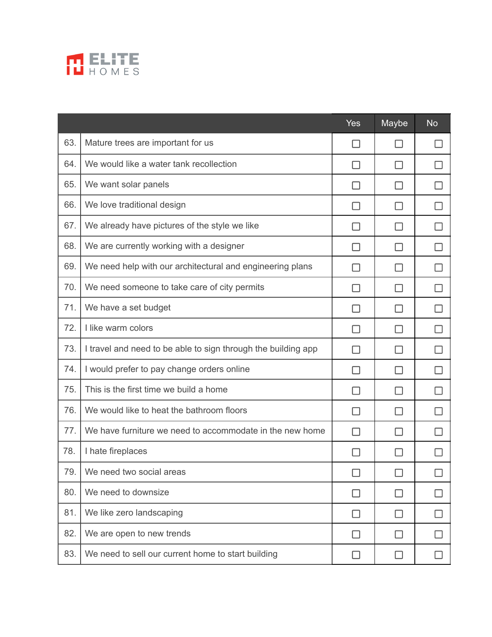

|     |                                                               | <b>Yes</b> | Maybe  | <b>No</b> |
|-----|---------------------------------------------------------------|------------|--------|-----------|
| 63. | Mature trees are important for us                             | $\Box$     | ΙI     |           |
| 64. | We would like a water tank recollection                       | ΙI         | $\Box$ |           |
| 65. | We want solar panels                                          | H          | H      |           |
| 66. | We love traditional design                                    | H          | П      | ΙI        |
| 67. | We already have pictures of the style we like                 | П          | П      | П         |
| 68. | We are currently working with a designer                      | H          | ΙI     | H         |
| 69. | We need help with our architectural and engineering plans     |            | ΙI     |           |
| 70. | We need someone to take care of city permits                  | П          | П      | H         |
| 71. | We have a set budget                                          | П          | П      |           |
| 72. | I like warm colors                                            | ΙI         | П      | ΙI        |
| 73. | I travel and need to be able to sign through the building app | H          | ΙI     |           |
| 74. | I would prefer to pay change orders online                    | H          | П      | ΙI        |
| 75. | This is the first time we build a home                        | П          | П      | ΙI        |
| 76. | We would like to heat the bathroom floors                     | ΙI         | ΙI     |           |
| 77. | We have furniture we need to accommodate in the new home      | П          | П      |           |
| 78. | I hate fireplaces                                             | П          | П      |           |
| 79. | We need two social areas                                      | $\Box$     |        | ⊔         |
| 80. | We need to downsize                                           | H          | ΙI     |           |
| 81. | We like zero landscaping                                      | П          | П      | П         |
| 82. | We are open to new trends                                     | ΙI         | ĪΙ     | H         |
| 83. | We need to sell our current home to start building            | $\Box$     | $\Box$ |           |